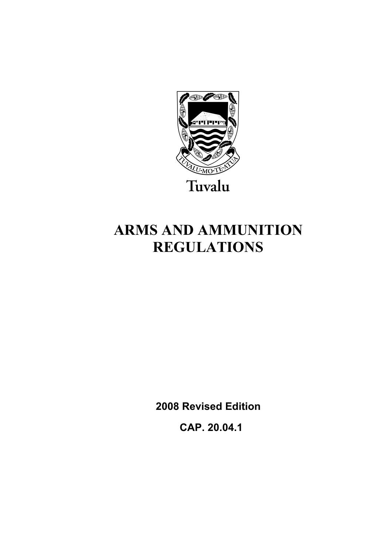

# **ARMS AND AMMUNITION REGULATIONS**

**2008 Revised Edition** 

 **CAP. 20.04.1**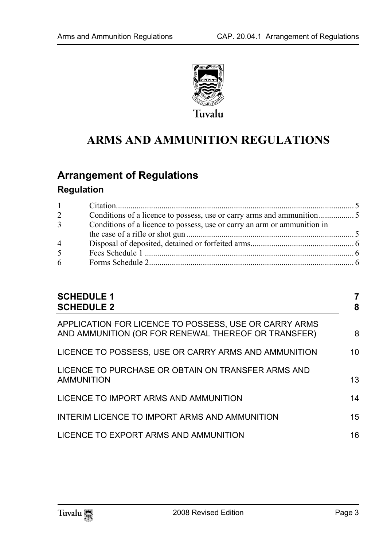

## **ARMS AND AMMUNITION REGULATIONS**

## **Arrange[ment of Regulations](#page-4-0)**

## **Regulation**

| $1 \quad \blacksquare$ |                                                                          |  |
|------------------------|--------------------------------------------------------------------------|--|
| $\overline{2}$         |                                                                          |  |
| 3 <sup>1</sup>         | Conditions of a licence to possess, use or carry an arm or ammunition in |  |
|                        |                                                                          |  |
| $\overline{4}$         |                                                                          |  |
| 5 <sup>5</sup>         |                                                                          |  |
| 6                      |                                                                          |  |
|                        |                                                                          |  |

| <b>SCHEDULE 1</b><br><b>SCHEDULE 2</b>                                                                       | 7<br>8 |
|--------------------------------------------------------------------------------------------------------------|--------|
| APPLICATION FOR LICENCE TO POSSESS, USE OR CARRY ARMS<br>AND AMMUNITION (OR FOR RENEWAL THEREOF OR TRANSFER) | 8      |
| LICENCE TO POSSESS, USE OR CARRY ARMS AND AMMUNITION                                                         | 10     |
| LICENCE TO PURCHASE OR OBTAIN ON TRANSFER ARMS AND<br>AMMUNITION                                             | 13     |
| LICENCE TO IMPORT ARMS AND AMMUNITION                                                                        | 14     |
| INTERIM LICENCE TO IMPORT ARMS AND AMMUNITION                                                                | 15     |
| LICENCE TO EXPORT ARMS AND AMMUNITION                                                                        | 16     |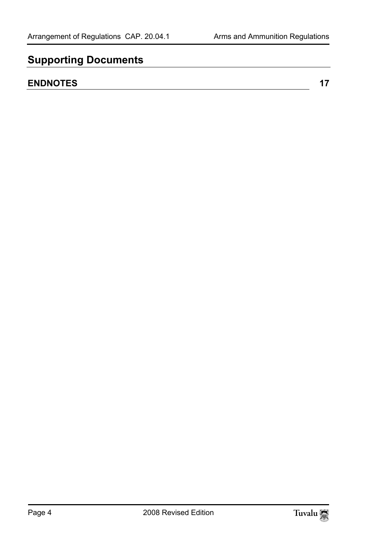## **Supporting Documents**

## **ENDNOTES** 17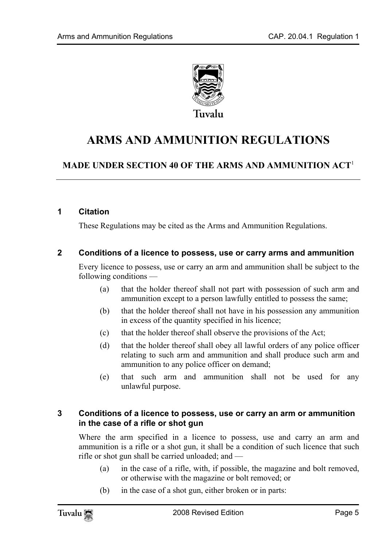

## **ARMS AND AMMUNITION REGULATIONS**

## **MADE UNDER SECTION 40 OF THE ARMS AND AMMUNITION ACT**<sup>1</sup>

#### **1 Citation**

<span id="page-4-0"></span>These Regulations may be cited as the Arms and Ammunition Regulations.

#### **2 Conditions of a licence to possess, use or carry arms and ammunition**

Every licence to possess, use or carry an arm and ammunition shall be subject to the following conditions —

- (a) that the holder thereof shall not part with possession of such arm and ammunition except to a person lawfully entitled to possess the same;
- (b) that the holder thereof shall not have in his possession any ammunition in excess of the quantity specified in his licence;
- (c) that the holder thereof shall observe the provisions of the Act;
- (d) that the holder thereof shall obey all lawful orders of any police officer relating to such arm and ammunition and shall produce such arm and ammunition to any police officer on demand;
- (e) that such arm and ammunition shall not be used for any unlawful purpose.

#### **3 Conditions of a licence to possess, use or carry an arm or ammunition in the case of a rifle or shot gun**

Where the arm specified in a licence to possess, use and carry an arm and ammunition is a rifle or a shot gun, it shall be a condition of such licence that such rifle or shot gun shall be carried unloaded; and —

- (a) in the case of a rifle, with, if possible, the magazine and bolt removed, or otherwise with the magazine or bolt removed; or
- (b) in the case of a shot gun, either broken or in parts: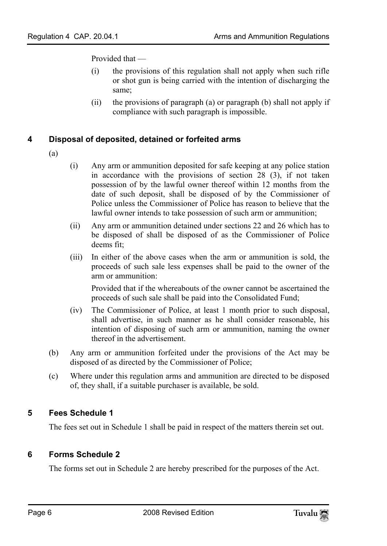Provided that —

- (i) the provisions of this regulation shall not apply when such rifle or shot gun is being carried with the intention of discharging the same;
- <span id="page-5-0"></span>(ii) the provisions of paragraph (a) or paragraph (b) shall not apply if compliance with such paragraph is impossible.

#### **4 Disposal of deposited, detained or forfeited arms**

- (a)
- (i) Any arm or ammunition deposited for safe keeping at any police station in accordance with the provisions of section 28 (3), if not taken possession of by the lawful owner thereof within 12 months from the date of such deposit, shall be disposed of by the Commissioner of Police unless the Commissioner of Police has reason to believe that the lawful owner intends to take possession of such arm or ammunition;
- (ii) Any arm or ammunition detained under sections 22 and 26 which has to be disposed of shall be disposed of as the Commissioner of Police deems fit;
- (iii) In either of the above cases when the arm or ammunition is sold, the proceeds of such sale less expenses shall be paid to the owner of the arm or ammunition:

Provided that if the whereabouts of the owner cannot be ascertained the proceeds of such sale shall be paid into the Consolidated Fund;

- (iv) The Commissioner of Police, at least 1 month prior to such disposal, shall advertise, in such manner as he shall consider reasonable, his intention of disposing of such arm or ammunition, naming the owner thereof in the advertisement.
- <span id="page-5-1"></span>(b) Any arm or ammunition forfeited under the provisions of the Act may be disposed of as directed by the Commissioner of Police;
- (c) Where under this regulation arms and ammunition are directed to be disposed of, they shall, if a suitable purchaser is available, be sold.

#### **5 Fees Schedule 1**

<span id="page-5-2"></span>The fees set out in Schedule 1 shall be paid in respect of the matters therein set out.

#### **6 Forms Schedule 2**

The forms set out in Schedule 2 are hereby prescribed for the purposes of the Act.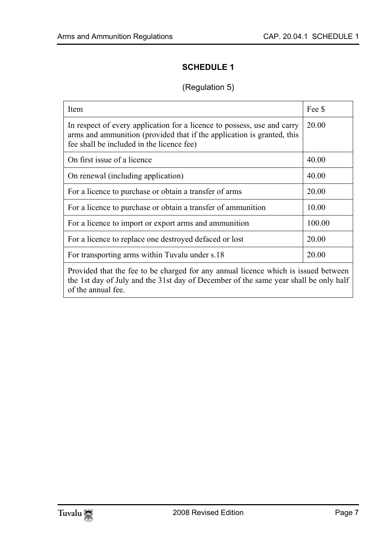## <span id="page-6-0"></span>**SCHEDULE 1**

### (Regulation 5)

| Item                                                                                                                                                                                             | Fee \$ |  |  |
|--------------------------------------------------------------------------------------------------------------------------------------------------------------------------------------------------|--------|--|--|
| In respect of every application for a licence to possess, use and carry<br>arms and ammunition (provided that if the application is granted, this<br>fee shall be included in the licence fee)   | 20.00  |  |  |
| On first issue of a licence                                                                                                                                                                      | 40.00  |  |  |
| On renewal (including application)                                                                                                                                                               | 40.00  |  |  |
| For a licence to purchase or obtain a transfer of arms                                                                                                                                           | 20.00  |  |  |
| For a licence to purchase or obtain a transfer of ammunition                                                                                                                                     | 10.00  |  |  |
| For a licence to import or export arms and ammunition                                                                                                                                            | 100.00 |  |  |
| For a licence to replace one destroyed defaced or lost                                                                                                                                           | 20.00  |  |  |
| For transporting arms within Tuvalu under s.18                                                                                                                                                   | 20.00  |  |  |
| Provided that the fee to be charged for any annual licence which is issued between<br>the 1st day of July and the 31st day of December of the same year shall be only half<br>of the annual fee. |        |  |  |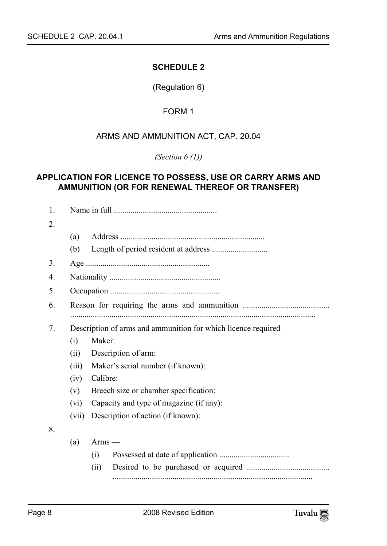#### <span id="page-7-0"></span>**SCHEDULE 2**

(Regulation 6)

#### FORM 1

#### <span id="page-7-1"></span>ARMS AND AMMUNITION ACT, CAP. 20.04

*(Section 6 (1))* 

#### **APPLICATION FOR LICENCE TO POSSESS, USE OR CARRY ARMS AND AMMUNITION (OR FOR RENEWAL THEREOF OR TRANSFER)**

| 1.               |                                                                 |                                   |  |  |  |
|------------------|-----------------------------------------------------------------|-----------------------------------|--|--|--|
| $\overline{2}$ . |                                                                 |                                   |  |  |  |
|                  | (a)                                                             |                                   |  |  |  |
|                  | (b)                                                             |                                   |  |  |  |
| 3.               |                                                                 |                                   |  |  |  |
| 4.               |                                                                 |                                   |  |  |  |
| 5.               |                                                                 |                                   |  |  |  |
| 6.               |                                                                 |                                   |  |  |  |
|                  |                                                                 |                                   |  |  |  |
| 7.               | Description of arms and ammunition for which licence required — |                                   |  |  |  |
|                  | (i)                                                             | Maker:                            |  |  |  |
|                  | (ii)                                                            | Description of arm:               |  |  |  |
|                  | (iii)                                                           | Maker's serial number (if known): |  |  |  |
|                  | Calibre:<br>(iv)                                                |                                   |  |  |  |
|                  | Breech size or chamber specification:<br>(v)                    |                                   |  |  |  |
|                  | Capacity and type of magazine (if any):<br>(vi)                 |                                   |  |  |  |
|                  | (vii)                                                           | Description of action (if known): |  |  |  |
| 8.               |                                                                 |                                   |  |  |  |
|                  | (a)                                                             | $Arms$ —                          |  |  |  |
|                  |                                                                 | (i)                               |  |  |  |
|                  |                                                                 | (ii)                              |  |  |  |
|                  |                                                                 |                                   |  |  |  |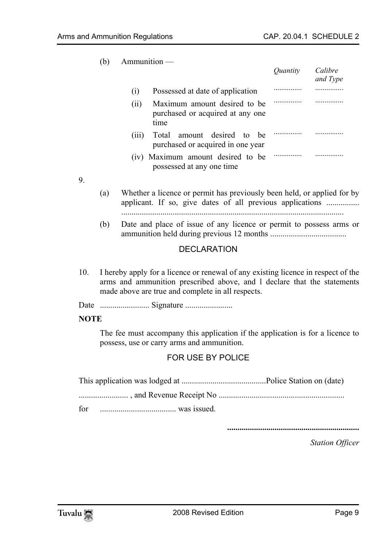(b) Ammunition —

|                                                                                 | <i>Ouantity</i> | Calibre<br>and Type |
|---------------------------------------------------------------------------------|-----------------|---------------------|
| Possessed at date of application<br>(1)                                         |                 |                     |
| Maximum amount desired to be<br>(i)<br>purchased or acquired at any one<br>time |                 |                     |
| amount desired to<br>Total<br>(111)<br>he<br>purchased or acquired in one year  |                 |                     |
| (iv) Maximum amount desired to be<br>possessed at any one time                  |                 |                     |

9.

- (a) Whether a licence or permit has previously been held, or applied for by applicant. If so, give dates of all previous applications ................. ............................................................................................................
- (b) Date and place of issue of any licence or permit to possess arms or ammunition held during previous 12 months .....................................

#### DECLARATION

10. I hereby apply for a licence or renewal of any existing licence in respect of the arms and ammunition prescribed above, and l declare that the statements made above are true and complete in all respects.

Date ........................ Signature .......................

#### **NOTE**

The fee must accompany this application if the application is for a licence to possess, use or carry arms and ammunition.

#### FOR USE BY POLICE

| for |  |
|-----|--|

**................................................................** 

*Station Officer* 

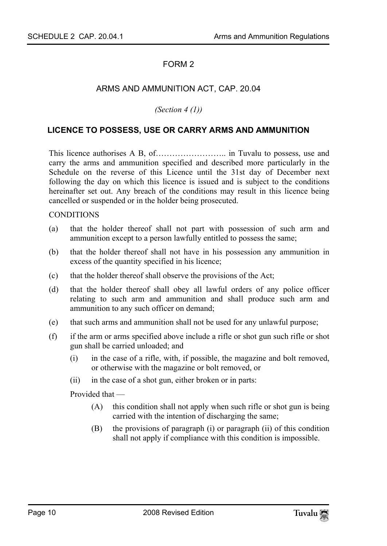#### <span id="page-9-0"></span>ARMS AND AMMUNITION ACT, CAP. 20.04

*(Section 4 (1))* 

#### **LICENCE TO POSSESS, USE OR CARRY ARMS AND AMMUNITION**

This licence authorises A B, of…………………….. in Tuvalu to possess, use and carry the arms and ammunition specified and described more particularly in the Schedule on the reverse of this Licence until the 31st day of December next following the day on which this licence is issued and is subject to the conditions hereinafter set out. Any breach of the conditions may result in this licence being cancelled or suspended or in the holder being prosecuted.

#### **CONDITIONS**

- (a) that the holder thereof shall not part with possession of such arm and ammunition except to a person lawfully entitled to possess the same;
- (b) that the holder thereof shall not have in his possession any ammunition in excess of the quantity specified in his licence;
- (c) that the holder thereof shall observe the provisions of the Act;
- (d) that the holder thereof shall obey all lawful orders of any police officer relating to such arm and ammunition and shall produce such arm and ammunition to any such officer on demand;
- (e) that such arms and ammunition shall not be used for any unlawful purpose;
- (f) if the arm or arms specified above include a rifle or shot gun such rifle or shot gun shall be carried unloaded; and
	- (i) in the case of a rifle, with, if possible, the magazine and bolt removed, or otherwise with the magazine or bolt removed, or
	- (ii) in the case of a shot gun, either broken or in parts:

Provided that —

- (A) this condition shall not apply when such rifle or shot gun is being carried with the intention of discharging the same;
- (B) the provisions of paragraph (i) or paragraph (ii) of this condition shall not apply if compliance with this condition is impossible.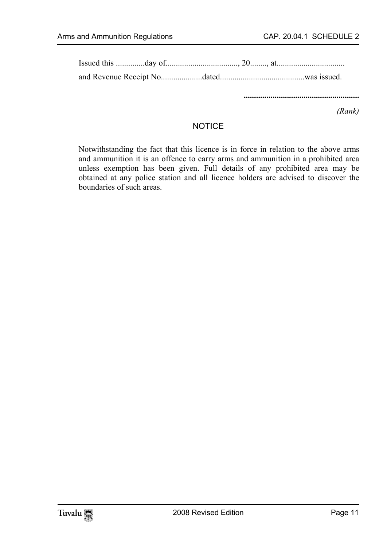**........................................................** 

*(Rank)* 

#### **NOTICE**

Notwithstanding the fact that this licence is in force in relation to the above arms and ammunition it is an offence to carry arms and ammunition in a prohibited area unless exemption has been given. Full details of any prohibited area may be obtained at any police station and all licence holders are advised to discover the boundaries of such areas.

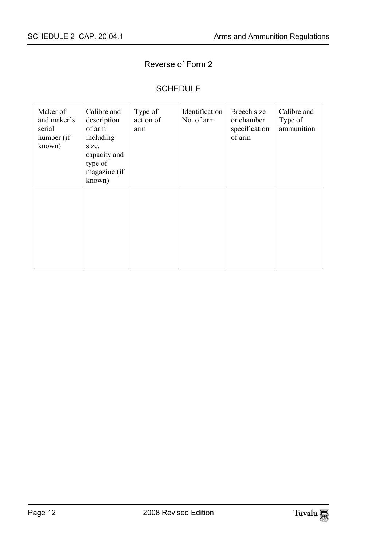## Reverse of Form 2

### SCHEDULE

| Maker of<br>and maker's<br>serial<br>number (if<br>known) | Calibre and<br>description<br>of arm<br>including<br>size,<br>capacity and<br>type of<br>magazine (if<br>known) | Type of<br>action of<br>arm | Identification<br>No. of arm | Breech size<br>or chamber<br>specification<br>of arm | Calibre and<br>Type of<br>ammunition |
|-----------------------------------------------------------|-----------------------------------------------------------------------------------------------------------------|-----------------------------|------------------------------|------------------------------------------------------|--------------------------------------|
|                                                           |                                                                                                                 |                             |                              |                                                      |                                      |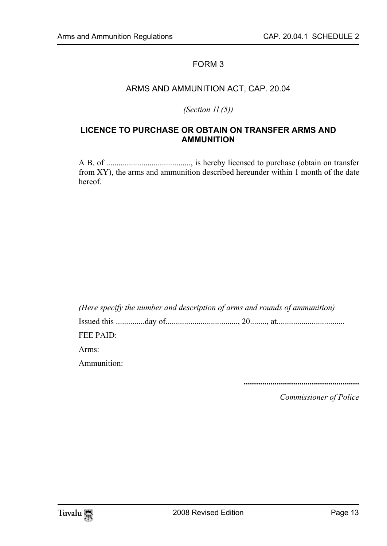#### <span id="page-12-0"></span>ARMS AND AMMUNITION ACT, CAP. 20.04

*(Section 1l (5))* 

#### **LICENCE TO PURCHASE OR OBTAIN ON TRANSFER ARMS AND AMMUNITION**

A B. of ........................................., is hereby licensed to purchase (obtain on transfer from XY), the arms and ammunition described hereunder within 1 month of the date hereof.

*(Here specify the number and description of arms and rounds of ammunition)* 

Issued this ..............day of..................................., 20........, at.................................

FEE PAID:

Arms:

Ammunition:

**........................................................**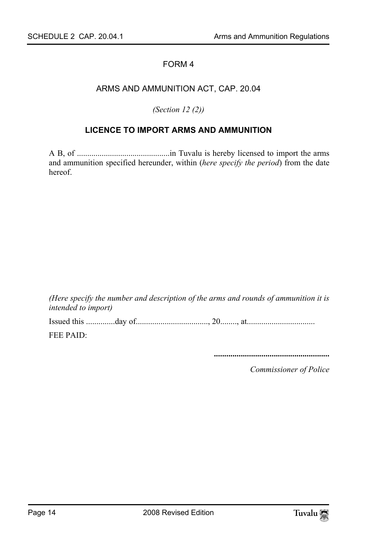#### ARMS AND AMMUNITION ACT, CAP. 20.04

<span id="page-13-0"></span>*(Section 12 (2))* 

#### **LICENCE TO IMPORT ARMS AND AMMUNITION**

A B, of .............................................in Tuvalu is hereby licensed to import the arms and ammunition specified hereunder, within (*here specify the period*) from the date hereof.

*(Here specify the number and description of the arms and rounds of ammunition it is intended to import)* 

Issued this ..............day of..................................., 20........, at.................................

FEE PAID:

**........................................................**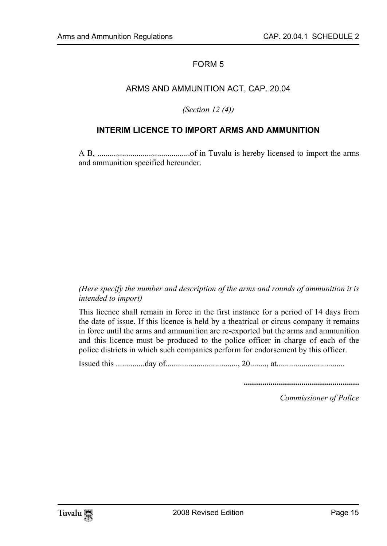#### <span id="page-14-0"></span>ARMS AND AMMUNITION ACT, CAP. 20.04

#### *(Section 12 (4))*

#### **INTERIM LICENCE TO IMPORT ARMS AND AMMUNITION**

A B, .............................................of in Tuvalu is hereby licensed to import the arms and ammunition specified hereunder.

#### *(Here specify the number and description of the arms and rounds of ammunition it is intended to import)*

This licence shall remain in force in the first instance for a period of 14 days from the date of issue. If this licence is held by a theatrical or circus company it remains in force until the arms and ammunition are re-exported but the arms and ammunition and this licence must be produced to the police officer in charge of each of the police districts in which such companies perform for endorsement by this officer.

Issued this ..............day of..................................., 20........, at.................................

**........................................................**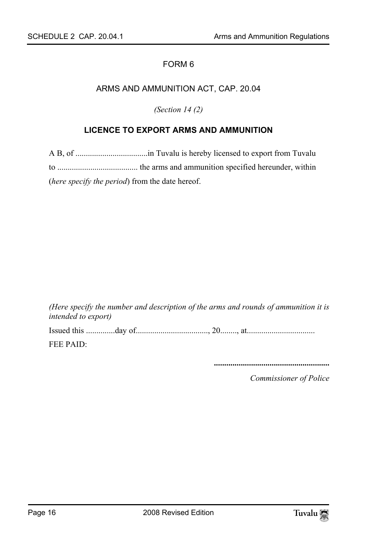#### ARMS AND AMMUNITION ACT, CAP. 20.04

<span id="page-15-0"></span>*(Section 14 (2)* 

#### **LICENCE TO EXPORT ARMS AND AMMUNITION**

A B, of ...................................in Tuvalu is hereby licensed to export from Tuvalu to ....................................... the arms and ammunition specified hereunder, within (*here specify the period*) from the date hereof.

*(Here specify the number and description of the arms and rounds of ammunition it is intended to export)*  Issued this ..............day of..................................., 20........, at................................. FEE PAID:

**........................................................**